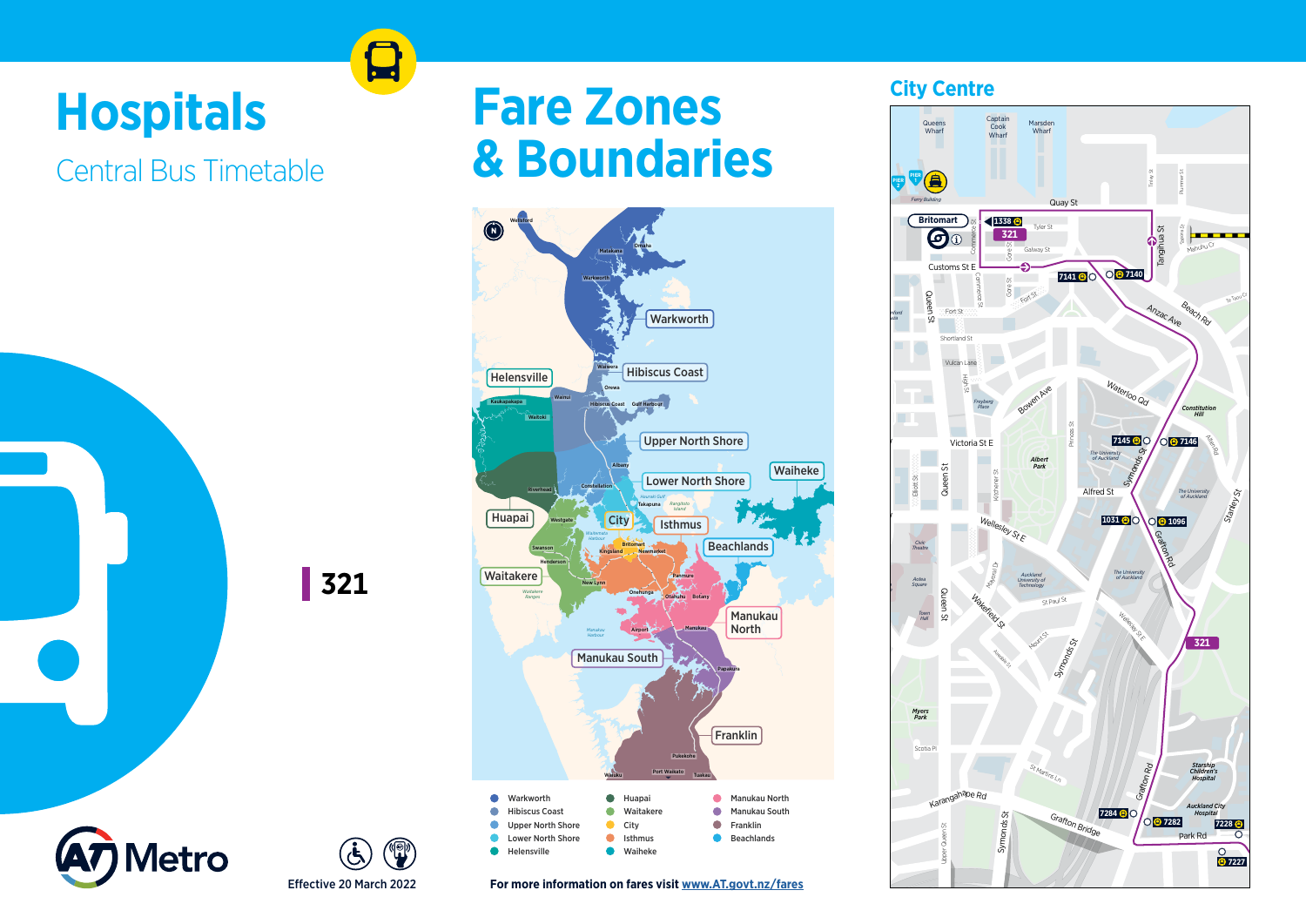# **Hospitals**

Central Bus Timetable

**321**





## **Fare Zones & Boundaries**



**For more information on fares visit www.AT.govt.nz/fares**

## **City Centre**

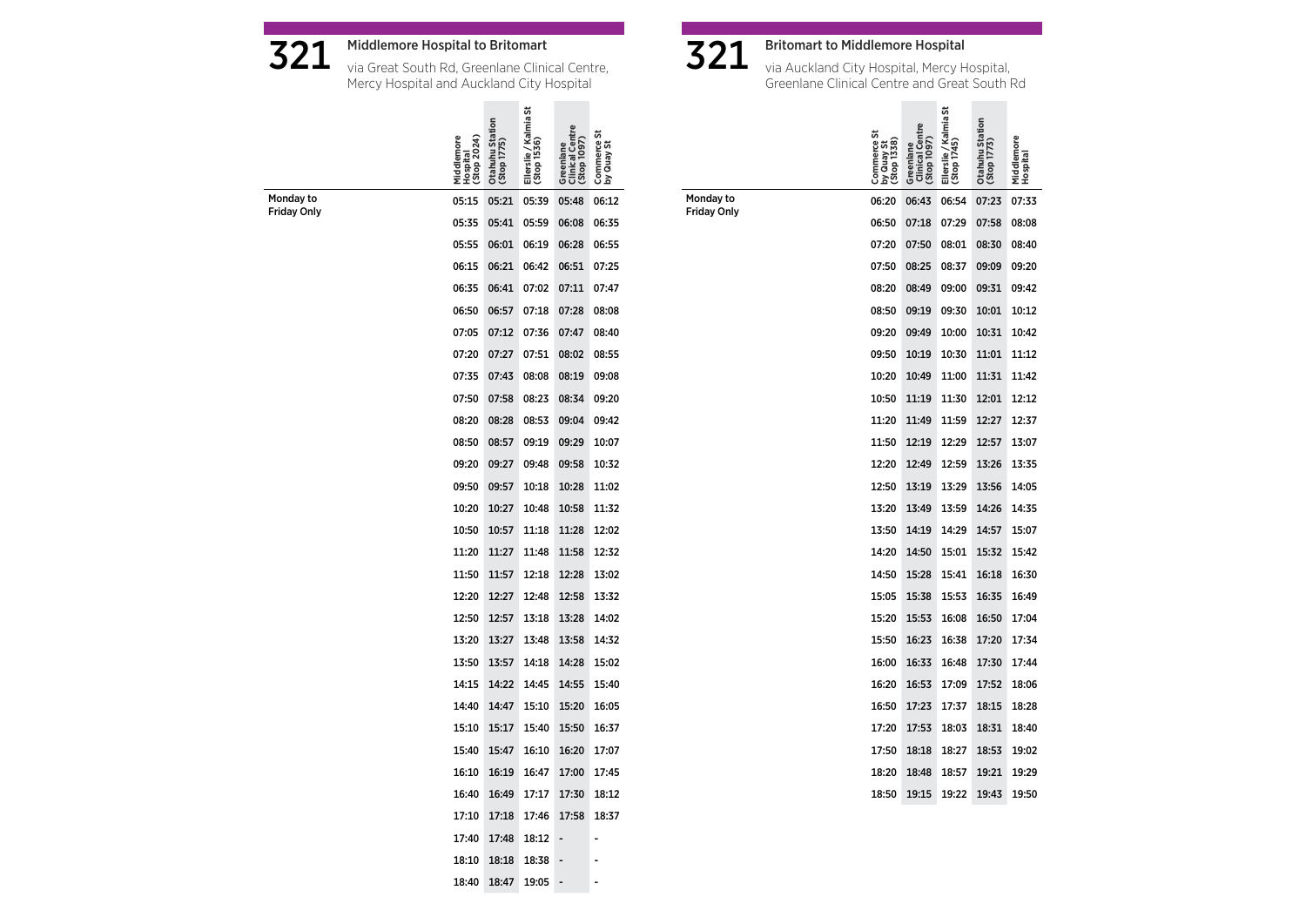



321 Middlemore Hospital to Britomart via Great South Rd, Greenlane Clinical Centre, Mercy Hospital and Auckland City Hospital

|                                 | Hospital<br>(Stop 2024)<br>Middlemor | Otahuhu Station<br>(Stop 1775) | Ellerslie / Kalmia St<br>(Stop 1536) | Greenlane<br>  Clinical Centre<br>  (Stop 1097) | Commerce St<br>by Quay St |
|---------------------------------|--------------------------------------|--------------------------------|--------------------------------------|-------------------------------------------------|---------------------------|
| Monday to<br><b>Friday Only</b> | 05:15                                | 05:21                          | 05:39                                | 05:48                                           | 06:12                     |
|                                 | 05:35                                | 05:41                          | 05:59                                | 06:08                                           | 06:35                     |
|                                 | 05:55                                | 06:01                          | 06:19                                | 06:28                                           | 06:55                     |
|                                 | 06:15                                | 06:21                          | 06:42                                | 06:51                                           | 07:25                     |
|                                 | 06:35                                | 06:41                          | 07:02                                | 07:11                                           | 07:47                     |
|                                 | 06:50                                | 06:57                          | 07:18                                | 07:28                                           | 08:08                     |
|                                 | 07:05                                | 07:12                          | 07:36                                | 07:47                                           | 08:40                     |
|                                 | 07:20                                | 07:27                          | 07:51                                | 08:02                                           | 08:55                     |
|                                 | 07:35                                | 07:43                          | 08:08                                | 08:19                                           | 09:08                     |
|                                 | 07:50                                | 07:58                          | 08:23                                | 08:34                                           | 09:20                     |
|                                 | 08:20                                | 08:28                          | 08:53                                | 09:04                                           | 09:42                     |
|                                 | 08:50                                | 08:57                          | 09:19                                | 09:29                                           | 10:07                     |
|                                 | 09:20                                | 09:27                          | 09:48                                | 09:58                                           | 10:32                     |
|                                 | 09:50                                | 09:57                          | 10:18                                | 10:28                                           | 11:02                     |
|                                 | 10:20                                | 10:27                          | 10:48                                | 10:58                                           | 11:32                     |
|                                 | 10:50                                | 10:57                          | 11:18                                | 11:28                                           | 12:02                     |
|                                 | 11:20                                | 11:27                          | 11:48                                | 11:58                                           | 12:32                     |
|                                 | 11:50                                | 11:57                          | 12:18                                | 12:28                                           | 13:02                     |
|                                 | 12:20                                | 12:27                          | 12:48                                | 12:58                                           | 13:32                     |
|                                 | 12:50                                | 12:57                          | 13:18                                | 13:28                                           | 14:02                     |
|                                 | 13:20                                | 13:27                          | 13:48                                | 13:58                                           | 14:32                     |
|                                 | 13:50                                | 13:57                          | 14:18                                | 14:28                                           | 15:02                     |
|                                 | 14:15                                | 14:22                          | 14:45                                | 14:55                                           | 15:40                     |
|                                 | 14:40                                | 14:47                          | 15:10                                | 15:20                                           | 16:05                     |
|                                 | 15:10                                | 15:17                          | 15:40                                | 15:50                                           | 16:37                     |
|                                 | 15:40                                | 15:47                          | 16:10                                | 16:20                                           | 17:07                     |
|                                 | 16:10                                | 16:19                          | 16:47                                | 17:00                                           | 17:45                     |
|                                 | 16:40                                | 16:49                          | 17:17                                | 17:30                                           | 18:12                     |
|                                 | 17:10                                | 17:18                          | 17:46                                | 17:58                                           | 18:37                     |
|                                 | 17:40                                | 17:48                          | 18:12                                | -                                               | Ē,                        |
|                                 | 18:10                                | 18:18                          | 18:38                                |                                                 |                           |
|                                 | 18:40                                | 18:47                          | 19:05                                |                                                 |                           |



Monday to Friday Only

 $\mathbf{321}\;\;$  Britomart to Middlemore Hospital<br>via Auckland City Hospital, Mercy Hospital, Greenlane Clinical Centre and Great South Rd

|       | <b>Clinical Centre</b><br>Greenlane | Ellerslie / Kalmia St<br>(Stop 1745) | Otahuhu Station<br>(Stop 1773) | Middlemore |
|-------|-------------------------------------|--------------------------------------|--------------------------------|------------|
| 06:20 | 06:43                               | 06:54                                | 07:23                          | 07:33      |
| 06:50 | 07:18                               | 07:29                                | 07:58                          | 08:08      |
| 07:20 | 07:50                               | 08:01                                | 08:30                          | 08:40      |
| 07:50 | 08:25                               | 08:37                                | 09:09                          | 09:20      |
| 08:20 | 08:49                               | 09:00                                | 09:31                          | 09:42      |
| 08:50 | 09:19                               | 09:30                                | 10:01                          | 10:12      |
| 09:20 | 09:49                               | 10:00                                | 10:31                          | 10:42      |
| 09:50 | 10:19                               | 10:30                                | 11:01                          | 11:12      |
| 10:20 | 10:49                               | 11:00                                | 11:31                          | 11:42      |
| 10:50 | 11:19                               | 11:30                                | 12:01                          | 12:12      |
| 11:20 | 11:49                               | 11:59                                | 12:27                          | 12:37      |
| 11:50 | 12:19                               | 12:29                                | 12:57                          | 13:07      |
| 12:20 | 12:49                               | 12:59                                | 13:26                          | 13:35      |
| 12:50 | 13:19                               | 13:29                                | 13:56                          | 14:05      |
| 13:20 | 13:49                               | 13:59                                | 14:26                          | 14:35      |
| 13:50 | 14:19                               | 14:29                                | 14:57                          | 15:07      |
| 14:20 | 14:50                               | 15:01                                | 15:32                          | 15:42      |
| 14:50 | 15:28                               | 15:41                                | 16:18                          | 16:30      |
| 15:05 | 15:38                               | 15:53                                | 16:35                          | 16:49      |
| 15:20 | 15:53                               | 16:08                                | 16:50                          | 17:04      |
| 15:50 | 16:23                               | 16:38                                | 17:20                          | 17:34      |
| 16:00 | 16:33                               | 16:48                                | 17:30                          | 17:44      |
| 16:20 | 16:53                               | 17:09                                | 17:52                          | 18:06      |
| 16:50 | 17:23                               | 17:37                                | 18:15                          | 18:28      |
| 17:20 | 17:53                               | 18:03                                | 18:31                          | 18:40      |
| 17:50 | 18:18                               | 18:27                                | 18:53                          | 19:02      |
| 18:20 | 18:48                               | 18:57                                | 19:21                          | 19:29      |
| 18:50 | 19:15                               | 19:22                                | 19:43                          | 19:50      |